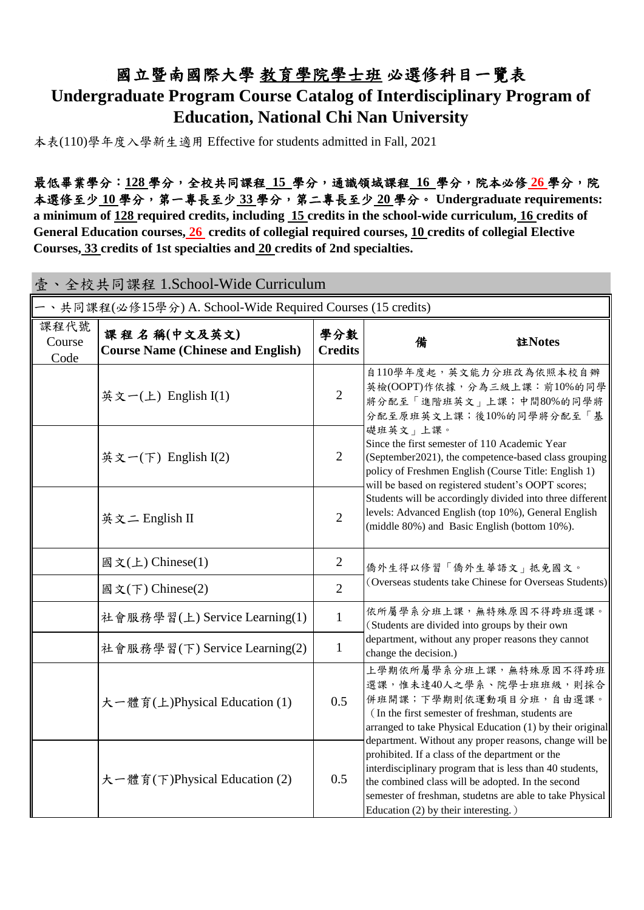### 國立暨南國際大學 教育學院學士班 必選修科目一覽表 **Undergraduate Program Course Catalog of Interdisciplinary Program of Education, National Chi Nan University**

本表(110)學年度入學新生適用 Effective for students admitted in Fall, 2021

最低畢業學分:**128** 學分,全校共同課程 **15** 學分,通識領域課程 **16** 學分,院本必修 **26** 學分,院 本選修至少 **10** 學分,第一專長至少 **33** 學分,第二專長至少 **20** 學分。 **Undergraduate requirements: a minimum of 128 required credits, including 15 credits in the school-wide curriculum, 16 credits of General Education courses, 26 credits of collegial required courses, 10 credits of collegial Elective Courses, 33 credits of 1st specialties and 20 credits of 2nd specialties.**

|                        | 壹、全校共同課程 1.School-Wide Curriculum                           |                       |                                                                                                                                                                                                                                                                                                                                |  |  |  |  |  |
|------------------------|-------------------------------------------------------------|-----------------------|--------------------------------------------------------------------------------------------------------------------------------------------------------------------------------------------------------------------------------------------------------------------------------------------------------------------------------|--|--|--|--|--|
|                        | 一、共同課程(必修15學分) A. School-Wide Required Courses (15 credits) |                       |                                                                                                                                                                                                                                                                                                                                |  |  |  |  |  |
| 課程代號<br>Course<br>Code | 課程名稱(中文及英文)<br><b>Course Name (Chinese and English)</b>     | 學分數<br><b>Credits</b> | 註Notes<br>備                                                                                                                                                                                                                                                                                                                    |  |  |  |  |  |
|                        | 英文一(上) English $I(1)$                                       | $\overline{2}$        | 自110學年度起, 英文能力分班改為依照本校自辦<br>英檢(OOPT)作依據,分為三級上課:前10%的同學<br>將分配至「進階班英文」上課;中間80%的同學將<br>分配至原班英文上課;後10%的同學將分配至「基                                                                                                                                                                                                                   |  |  |  |  |  |
|                        | 英文一(下) English $I(2)$                                       | $\overline{2}$        | 礎班英文」上課。<br>Since the first semester of 110 Academic Year<br>(September2021), the competence-based class grouping<br>policy of Freshmen English (Course Title: English 1)<br>will be based on registered student's OOPT scores;                                                                                                |  |  |  |  |  |
|                        | 英文二 English II                                              | $\overline{2}$        | Students will be accordingly divided into three different<br>levels: Advanced English (top 10%), General English<br>(middle 80%) and Basic English (bottom 10%).                                                                                                                                                               |  |  |  |  |  |
|                        | 國文(上) Chinese(1)                                            | $\overline{2}$        | 僑外生得以修習「僑外生華語文」抵免國文。                                                                                                                                                                                                                                                                                                           |  |  |  |  |  |
|                        | 國文(下) Chinese(2)                                            | $\overline{2}$        | (Overseas students take Chinese for Overseas Students)                                                                                                                                                                                                                                                                         |  |  |  |  |  |
|                        | 社會服務學習(上) Service Learning(1)                               | $\mathbf{1}$          | 依所屬學系分班上課,無特殊原因不得跨班選課。<br>(Students are divided into groups by their own                                                                                                                                                                                                                                                       |  |  |  |  |  |
|                        | 社會服務學習(下) Service Learning(2)                               | $\mathbf{1}$          | department, without any proper reasons they cannot<br>change the decision.)                                                                                                                                                                                                                                                    |  |  |  |  |  |
|                        | 大一體育(上)Physical Education (1)                               | 0.5                   | 上學期依所屬學系分班上課,無特殊原因不得跨班<br>選課,惟未達40人之學系、院學士班班級,則採合<br>併班開課;下學期則依運動項目分班,自由選課。<br>(In the first semester of freshman, students are<br>arranged to take Physical Education (1) by their original                                                                                                                                   |  |  |  |  |  |
|                        | 大一體育(下)Physical Education (2)                               | 0.5                   | department. Without any proper reasons, change will be<br>prohibited. If a class of the department or the<br>interdisciplinary program that is less than 40 students,<br>the combined class will be adopted. In the second<br>semester of freshman, studetns are able to take Physical<br>Education (2) by their interesting.) |  |  |  |  |  |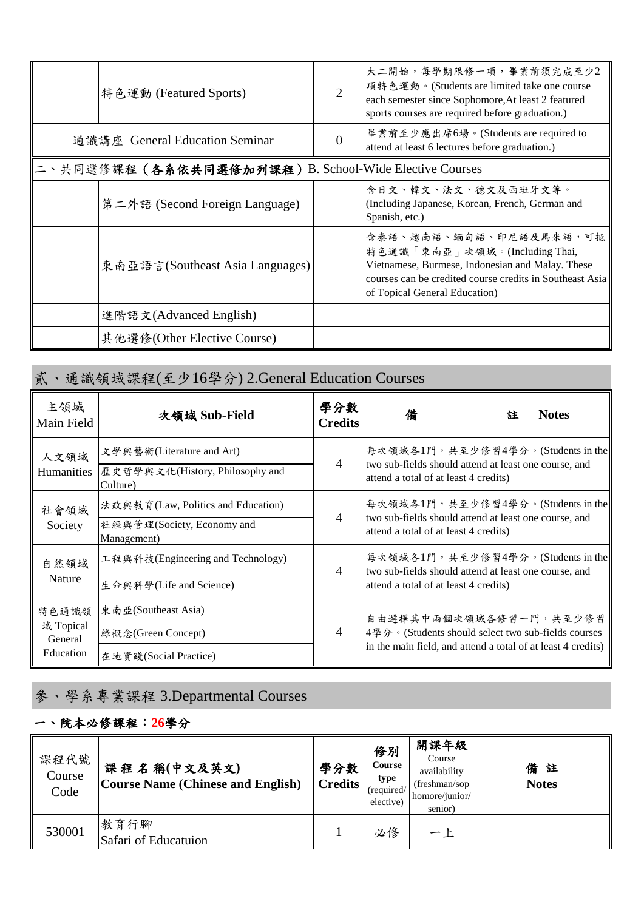| 特色運動 (Featured Sports)                              | 大二開始,每學期限修一項,畢業前須完成至少2<br>項特色運動。(Students are limited take one course<br>each semester since Sophomore, At least 2 featured<br>sports courses are required before graduation.)                           |
|-----------------------------------------------------|----------------------------------------------------------------------------------------------------------------------------------------------------------------------------------------------------------|
| 通識講座 General Education Seminar                      | 畢業前至少應出席6場。(Students are required to<br>attend at least 6 lectures before graduation.)                                                                                                                   |
| 、共同選修課程(各系依共同選修加列課程)B. School-Wide Elective Courses |                                                                                                                                                                                                          |
| 第二外語 (Second Foreign Language)                      | 含日文、韓文、法文、德文及西班牙文等。<br>(Including Japanese, Korean, French, German and<br>Spanish, etc.)                                                                                                                 |
| 東南亞語言(Southeast Asia Languages)                     | 含泰語、越南語、緬甸語、印尼語及馬來語,可抵<br>特色通識「東南亞」次領域。(Including Thai,<br>Vietnamese, Burmese, Indonesian and Malay. These<br>courses can be credited course credits in Southeast Asia<br>of Topical General Education) |
| 進階語文(Advanced English)                              |                                                                                                                                                                                                          |
| 其他選修(Other Elective Course)                         |                                                                                                                                                                                                          |

## 貳、通識領域課程(至少16學分) 2.General Education Courses

| 主領域<br><b>Main Field</b> | 次領域 Sub-Field                                                                   | 學分數<br><b>Credits</b>  | 備                                                                                                                                   | 註 | <b>Notes</b> |  |
|--------------------------|---------------------------------------------------------------------------------|------------------------|-------------------------------------------------------------------------------------------------------------------------------------|---|--------------|--|
| 人文領域<br>Humanities       | 文學與藝術(Literature and Art)<br>歷史哲學與文化(History, Philosophy and<br>Culture)        | $\overline{4}$         | 每次領域各1門,共至少修習4學分。(Students in the<br>two sub-fields should attend at least one course, and<br>attend a total of at least 4 credits) |   |              |  |
| 社會領域<br>Society          | 法政與教育(Law, Politics and Education)<br>社經與管理(Society, Economy and<br>Management) | $\overline{A}$         | 每次領域各1門,共至少修習4學分。(Students in the<br>two sub-fields should attend at least one course, and<br>attend a total of at least 4 credits) |   |              |  |
| 自然領域<br><b>Nature</b>    | 工程與科技(Engineering and Technology)                                               | 4                      | 每次領域各1門,共至少修習4學分。(Students in the<br>two sub-fields should attend at least one course, and                                          |   |              |  |
|                          | 生命與科學(Life and Science)                                                         |                        | attend a total of at least 4 credits)                                                                                               |   |              |  |
| 特色通識領                    | 東南亞(Southeast Asia)                                                             | 自由選擇其中兩個次領域各修習一門,共至少修習 |                                                                                                                                     |   |              |  |
| 域 Topical<br>General     | 綠概念(Green Concept)                                                              | $\overline{4}$         | 4學分。(Students should select two sub-fields courses                                                                                  |   |              |  |
| Education                | 在地實踐(Social Practice)                                                           |                        | in the main field, and attend a total of at least 4 credits)                                                                        |   |              |  |

# 參、學系專業課程 3.Departmental Courses

#### 一、院本必修課程:**26**學分

| 課程代號<br>Course<br>Code | 課程名稱(中文及英文)<br><b>Course Name (Chinese and English)</b> | 學分數<br><b>Credits</b> | 修別<br>Course<br>type<br>(required/<br>elective) | 開課年級<br>Course<br>availability<br>(freshman/sop)<br>homore/junior/<br>senior) | 備註<br><b>Notes</b> |
|------------------------|---------------------------------------------------------|-----------------------|-------------------------------------------------|-------------------------------------------------------------------------------|--------------------|
| 530001                 | 教育行腳<br>Safari of Educatuion                            |                       | 必修                                              | 一上                                                                            |                    |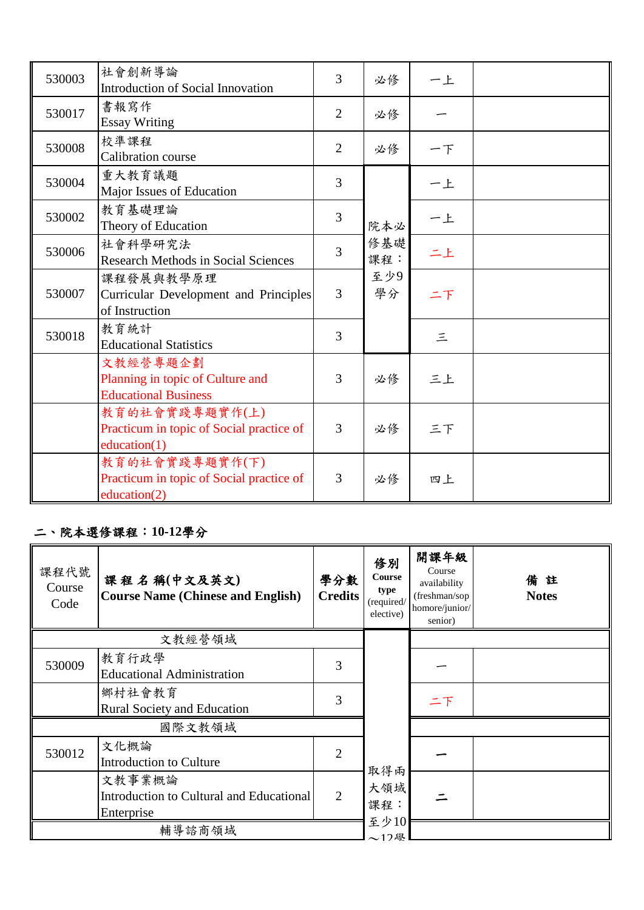| 530003 | 社會創新導論<br><b>Introduction of Social Innovation</b>                          | $\overline{3}$ | 必修         | 一上       |  |
|--------|-----------------------------------------------------------------------------|----------------|------------|----------|--|
| 530017 | 書報寫作<br><b>Essay Writing</b>                                                | $\overline{2}$ | 必修         |          |  |
| 530008 | 校準課程<br><b>Calibration</b> course                                           | $\overline{2}$ | 必修         | 一下       |  |
| 530004 | 重大教育議題<br>Major Issues of Education                                         | 3              |            | 一上       |  |
| 530002 | 教育基礎理論<br>Theory of Education                                               | 3              | 院本必        | 一上       |  |
| 530006 | 社會科學研究法<br><b>Research Methods in Social Sciences</b>                       | 3              | 修基礎<br>課程: | 二上       |  |
| 530007 | 課程發展與教學原理<br>Curricular Development and Principles<br>of Instruction        | $\overline{3}$ | 至少9<br>學分  | 二下       |  |
| 530018 | 教育統計<br><b>Educational Statistics</b>                                       | 3              |            | $\equiv$ |  |
|        | 文教經營專題企劃<br>Planning in topic of Culture and<br><b>Educational Business</b> | 3              | 必修         | 三上       |  |
|        | 教育的社會實踐專題實作(上)<br>Practicum in topic of Social practice of<br>education(1)  | 3              | 必修         | 三下       |  |
|        | 教育的社會實踐專題實作(下)<br>Practicum in topic of Social practice of<br>education(2)  | 3              | 必修         | 四上       |  |

#### 二、院本選修課程:**10-12**學分

| 課程代號<br>Course<br>Code | 課程名稱(中文及英文)<br><b>Course Name (Chinese and English)</b>          | 學分數<br><b>Credits</b> | 修別<br>Course<br>type<br>(required/<br>elective) | 開課年級<br>Course<br>availability<br>(freshman/sop<br>homore/junior/<br>senior) | 備註<br><b>Notes</b> |
|------------------------|------------------------------------------------------------------|-----------------------|-------------------------------------------------|------------------------------------------------------------------------------|--------------------|
|                        | 文教經營領域                                                           |                       |                                                 |                                                                              |                    |
| 530009                 | 教育行政學<br><b>Educational Administration</b>                       | 3                     |                                                 |                                                                              |                    |
|                        | 鄉村社會教育<br><b>Rural Society and Education</b>                     | 3                     |                                                 | 二下                                                                           |                    |
|                        | 國際文教領域                                                           |                       |                                                 |                                                                              |                    |
| 530012                 | 文化概論<br>Introduction to Culture                                  | 2                     | 取得兩                                             |                                                                              |                    |
|                        | 文教事業概論<br>Introduction to Cultural and Educational<br>Enterprise | $\overline{2}$        | 大領域<br>課程:                                      |                                                                              |                    |
|                        | 輔導諮商領域                                                           |                       | 至少10<br>$\sim$ 17學                              |                                                                              |                    |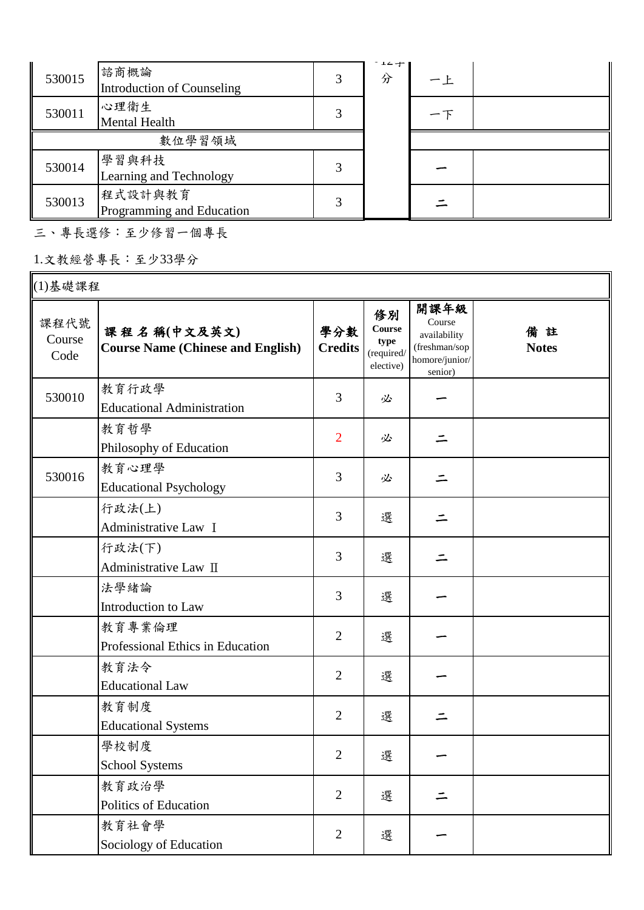| 530015 | 諮商概論<br>Introduction of Counseling   | 3 | $1 - T$<br>分 | 一上 |  |
|--------|--------------------------------------|---|--------------|----|--|
| 530011 | 心理衛生<br>Mental Health                |   |              |    |  |
|        | 數位學習領域                               |   |              |    |  |
| 530014 | 學習與科技<br>Learning and Technology     |   |              |    |  |
| 530013 | 程式設計與教育<br>Programming and Education | 3 |              |    |  |

三、專長選修:至少修習一個專長

1.文教經營專長:至少33學分

| (1)基礎課程                |                                                         |                       |                                                        |                                                                              |                    |
|------------------------|---------------------------------------------------------|-----------------------|--------------------------------------------------------|------------------------------------------------------------------------------|--------------------|
| 課程代號<br>Course<br>Code | 課程名稱(中文及英文)<br><b>Course Name (Chinese and English)</b> | 學分數<br><b>Credits</b> | 修別<br><b>Course</b><br>type<br>(required/<br>elective) | 開課年級<br>Course<br>availability<br>(freshman/sop<br>homore/junior/<br>senior) | 備註<br><b>Notes</b> |
| 530010                 | 教育行政學<br><b>Educational Administration</b>              | 3                     | 必                                                      |                                                                              |                    |
|                        | 教育哲學<br>Philosophy of Education                         | $\overline{2}$        | 必                                                      | ニ                                                                            |                    |
| 530016                 | 教育心理學<br><b>Educational Psychology</b>                  | 3                     | 必                                                      |                                                                              |                    |
|                        | 行政法(上)<br>Administrative Law I                          | 3                     | 選                                                      |                                                                              |                    |
|                        | 行政法(下)<br>Administrative Law II                         | 3                     | 選                                                      |                                                                              |                    |
|                        | 法學緒論<br>Introduction to Law                             | 3                     | 選                                                      |                                                                              |                    |
|                        | 教育專業倫理<br>Professional Ethics in Education              | $\overline{2}$        | 選                                                      |                                                                              |                    |
|                        | 教育法令<br><b>Educational Law</b>                          | $\overline{2}$        | 選                                                      |                                                                              |                    |
|                        | 教育制度<br><b>Educational Systems</b>                      | $\overline{2}$        | 選                                                      |                                                                              |                    |
|                        | 學校制度<br>School Systems                                  | $\overline{2}$        | 選                                                      |                                                                              |                    |
|                        | 教育政治學<br>Politics of Education                          | $\overline{2}$        | 選                                                      |                                                                              |                    |
|                        | 教育社會學<br>Sociology of Education                         | $\overline{2}$        | 選                                                      |                                                                              |                    |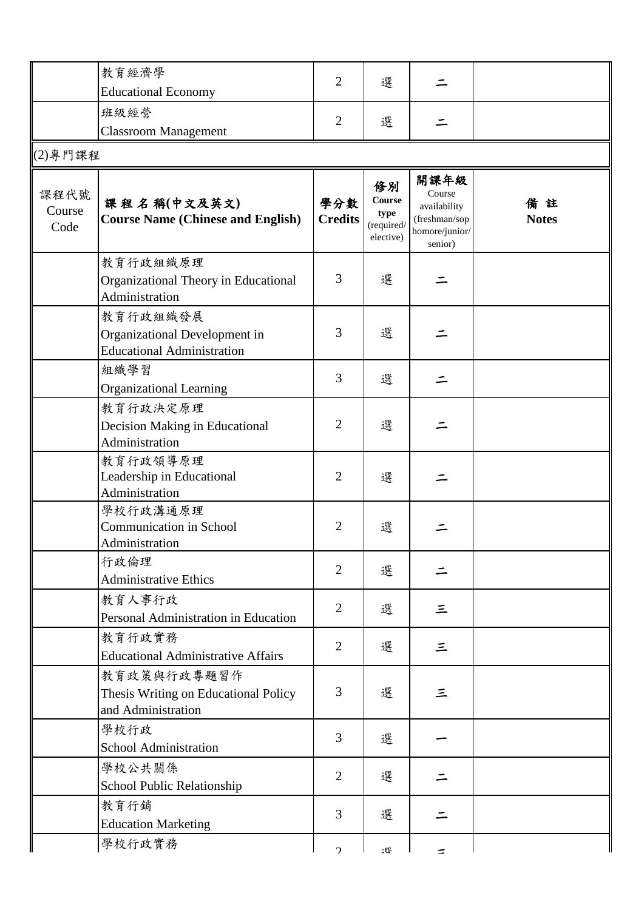|                        | 教育經濟學                                                                          |                       |                                                 |                                                                              |                    |
|------------------------|--------------------------------------------------------------------------------|-----------------------|-------------------------------------------------|------------------------------------------------------------------------------|--------------------|
|                        | <b>Educational Economy</b>                                                     | $\overline{2}$        | 選                                               |                                                                              |                    |
|                        | 班級經營                                                                           |                       |                                                 |                                                                              |                    |
|                        | <b>Classroom Management</b>                                                    | $\overline{2}$        | 選                                               |                                                                              |                    |
| (2)專門課程                |                                                                                |                       |                                                 |                                                                              |                    |
|                        |                                                                                |                       |                                                 |                                                                              |                    |
| 課程代號<br>Course<br>Code | 課程名稱(中文及英文)<br><b>Course Name (Chinese and English)</b>                        | 學分數<br><b>Credits</b> | 修別<br>Course<br>type<br>(required/<br>elective) | 開課年級<br>Course<br>availability<br>(freshman/sop<br>homore/junior/<br>senior) | 備註<br><b>Notes</b> |
|                        | 教育行政組織原理<br>Organizational Theory in Educational<br>Administration             | 3                     | 選                                               |                                                                              |                    |
|                        | 教育行政組織發展<br>Organizational Development in<br><b>Educational Administration</b> | 3                     | 選                                               |                                                                              |                    |
|                        | 組織學習<br><b>Organizational Learning</b>                                         | 3                     | 選                                               | ⋍                                                                            |                    |
|                        | 教育行政決定原理<br>Decision Making in Educational<br>Administration                   | $\overline{2}$        | 選                                               |                                                                              |                    |
|                        | 教育行政領導原理<br>Leadership in Educational<br>Administration                        | $\overline{2}$        | 選                                               |                                                                              |                    |
|                        | 學校行政溝通原理<br><b>Communication in School</b><br>Administration                   | $\overline{2}$        | 選                                               |                                                                              |                    |
|                        | 行政倫理<br><b>Administrative Ethics</b>                                           | $\overline{2}$        | 選                                               | ⋍                                                                            |                    |
|                        | 教育人事行政<br>Personal Administration in Education                                 | $\overline{2}$        | 選                                               | 三                                                                            |                    |
|                        | 教育行政實務<br><b>Educational Administrative Affairs</b>                            | $\overline{2}$        | 選                                               | 三                                                                            |                    |
|                        | 教育政策與行政專題習作<br>Thesis Writing on Educational Policy<br>and Administration      | 3                     | 選                                               | 三                                                                            |                    |
|                        | 學校行政<br>School Administration                                                  | 3                     | 選                                               |                                                                              |                    |
|                        | 學校公共關係<br>School Public Relationship                                           | $\overline{2}$        | 選                                               |                                                                              |                    |
|                        | 教育行銷<br><b>Education Marketing</b>                                             | 3                     | 選                                               |                                                                              |                    |
|                        | 學校行政實務                                                                         | $\mathcal{L}$         | :晖                                              | ÷                                                                            |                    |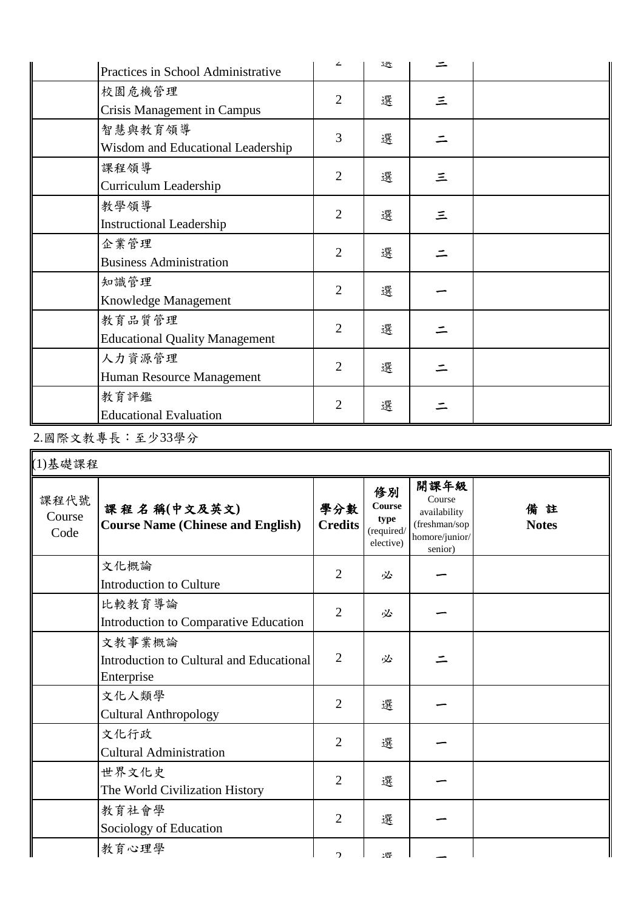| Practices in School Administrative              | ∠              | 达 |   |  |
|-------------------------------------------------|----------------|---|---|--|
| 校園危機管理<br><b>Crisis Management in Campus</b>    | $\overline{2}$ | 選 | 三 |  |
| 智慧與教育領導<br>Wisdom and Educational Leadership    | 3              | 選 |   |  |
| 課程領導<br>Curriculum Leadership                   | $\overline{2}$ | 選 | 三 |  |
| 教學領導<br><b>Instructional Leadership</b>         | $\overline{2}$ | 選 | 三 |  |
| 企業管理<br><b>Business Administration</b>          | $\overline{2}$ | 選 |   |  |
| 知識管理<br>Knowledge Management                    | $\overline{2}$ | 選 |   |  |
| 教育品質管理<br><b>Educational Quality Management</b> | $\overline{2}$ | 選 |   |  |
| 人力資源管理<br>Human Resource Management             | $\overline{2}$ | 選 |   |  |
| 教育評鑑<br><b>Educational Evaluation</b>           | $\overline{2}$ | 選 |   |  |

2.國際文教專長:至少33學分

| (1)基礎課程                |                                                                  |                       |                                                 |                                                                              |                    |
|------------------------|------------------------------------------------------------------|-----------------------|-------------------------------------------------|------------------------------------------------------------------------------|--------------------|
| 課程代號<br>Course<br>Code | 課程名稱(中文及英文)<br><b>Course Name (Chinese and English)</b>          | 學分數<br><b>Credits</b> | 修別<br>Course<br>type<br>(required/<br>elective) | 開課年級<br>Course<br>availability<br>(freshman/sop<br>homore/junior/<br>senior) | 備註<br><b>Notes</b> |
|                        | 文化概論<br><b>Introduction to Culture</b>                           | $\overline{2}$        | 必                                               |                                                                              |                    |
|                        | 比較教育導論<br>Introduction to Comparative Education                  | $\overline{2}$        | 必                                               |                                                                              |                    |
|                        | 文教事業概論<br>Introduction to Cultural and Educational<br>Enterprise | $\overline{2}$        | 必                                               |                                                                              |                    |
|                        | 文化人類學<br><b>Cultural Anthropology</b>                            | 2                     | 選                                               |                                                                              |                    |
|                        | 文化行政<br><b>Cultural Administration</b>                           | $\overline{2}$        | 選                                               |                                                                              |                    |
|                        | 世界文化史<br>The World Civilization History                          | $\overline{2}$        | 選                                               |                                                                              |                    |
|                        | 教育社會學<br>Sociology of Education                                  | $\overline{2}$        | 選                                               |                                                                              |                    |
|                        | 教育心理學                                                            | C                     | 理                                               |                                                                              |                    |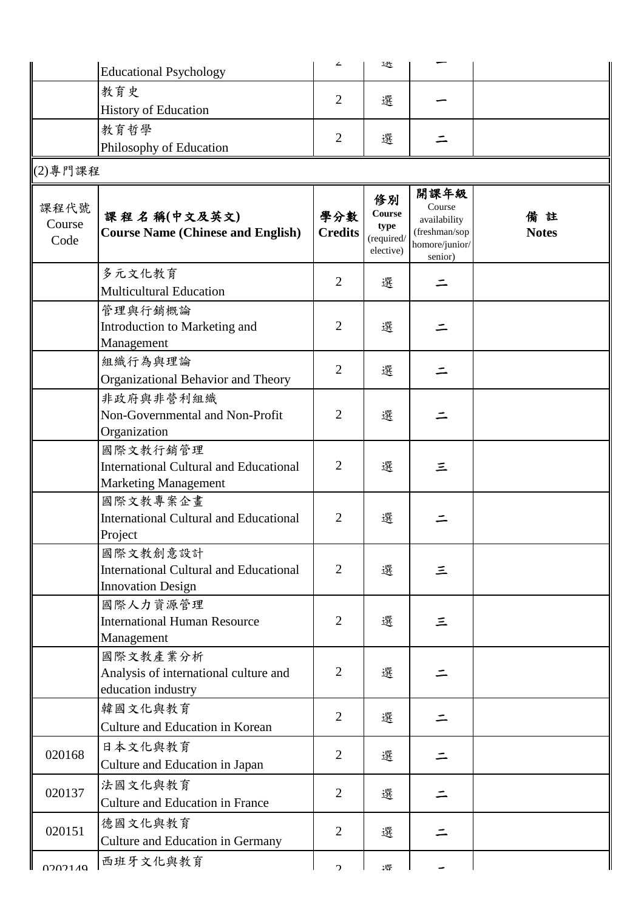|                        | <b>Educational Psychology</b>                                                            | ∠                     | 达                                               |                                                                              |                    |  |  |  |  |
|------------------------|------------------------------------------------------------------------------------------|-----------------------|-------------------------------------------------|------------------------------------------------------------------------------|--------------------|--|--|--|--|
|                        | 教育史                                                                                      |                       |                                                 |                                                                              |                    |  |  |  |  |
|                        | <b>History of Education</b>                                                              | $\overline{2}$        | 選                                               |                                                                              |                    |  |  |  |  |
|                        | 教育哲學                                                                                     |                       |                                                 |                                                                              |                    |  |  |  |  |
|                        | Philosophy of Education                                                                  | $\overline{2}$        | 選                                               |                                                                              |                    |  |  |  |  |
| $(2)$ 專門課程             |                                                                                          |                       |                                                 |                                                                              |                    |  |  |  |  |
| 課程代號<br>Course<br>Code | 課程名稱(中文及英文)<br><b>Course Name (Chinese and English)</b>                                  | 學分數<br><b>Credits</b> | 修別<br>Course<br>type<br>(required/<br>elective) | 開課年級<br>Course<br>availability<br>(freshman/sop<br>homore/junior/<br>senior) | 備註<br><b>Notes</b> |  |  |  |  |
|                        | 多元文化教育                                                                                   | $\overline{2}$        | 選                                               |                                                                              |                    |  |  |  |  |
|                        | <b>Multicultural Education</b>                                                           |                       |                                                 |                                                                              |                    |  |  |  |  |
|                        | 管理與行銷概論<br>Introduction to Marketing and<br>Management                                   | $\overline{2}$        | 選                                               |                                                                              |                    |  |  |  |  |
|                        | 組織行為與理論<br>Organizational Behavior and Theory                                            | $\overline{2}$        | 選                                               |                                                                              |                    |  |  |  |  |
|                        | 非政府與非營利組織<br>Non-Governmental and Non-Profit<br>Organization                             | $\overline{2}$        | 選                                               |                                                                              |                    |  |  |  |  |
|                        | 國際文教行銷管理<br><b>International Cultural and Educational</b><br><b>Marketing Management</b> | $\overline{2}$        | 選                                               | 三                                                                            |                    |  |  |  |  |
|                        | 國際文教專案企畫<br><b>International Cultural and Educational</b><br>Project                     | $\overline{2}$        | 選                                               |                                                                              |                    |  |  |  |  |
|                        | 國際文教創意設計<br><b>International Cultural and Educational</b><br><b>Innovation Design</b>    | $\overline{2}$        | 選                                               | 三                                                                            |                    |  |  |  |  |
|                        | 國際人力資源管理<br><b>International Human Resource</b><br>Management                            | $\overline{2}$        | 選                                               | $\equiv$                                                                     |                    |  |  |  |  |
|                        | 國際文教產業分析<br>Analysis of international culture and<br>education industry                  | $\overline{2}$        | 選                                               |                                                                              |                    |  |  |  |  |
|                        | 韓國文化與教育<br>Culture and Education in Korean                                               | $\overline{2}$        | 選                                               |                                                                              |                    |  |  |  |  |
| 020168                 | 日本文化與教育<br>Culture and Education in Japan                                                | $\overline{2}$        | 選                                               |                                                                              |                    |  |  |  |  |
| 020137                 | 法國文化與教育<br><b>Culture and Education in France</b>                                        | $\overline{2}$        | 選                                               |                                                                              |                    |  |  |  |  |
| 020151                 | 德國文化與教育<br>Culture and Education in Germany                                              | $\overline{2}$        | 選                                               |                                                                              |                    |  |  |  |  |
| 0202140                | 西班牙文化與教育                                                                                 | $\mathcal{L}$         | 理                                               |                                                                              |                    |  |  |  |  |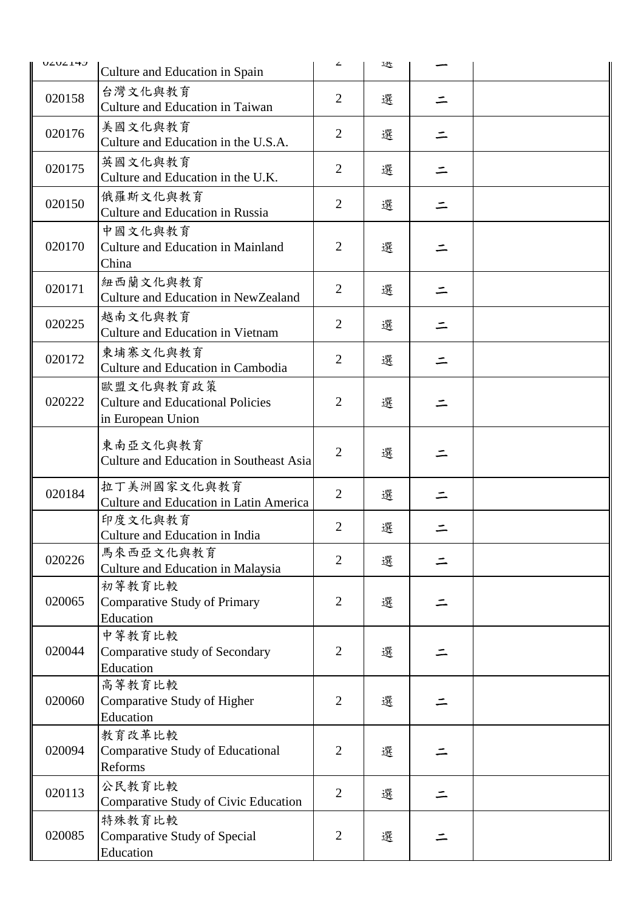| <b>UZUZITZ</b> | Culture and Education in Spain                                            | ∠              | 迗 |   |  |
|----------------|---------------------------------------------------------------------------|----------------|---|---|--|
| 020158         | 台灣文化與教育                                                                   | $\overline{2}$ | 選 |   |  |
|                | <b>Culture and Education in Taiwan</b>                                    |                |   |   |  |
| 020176         | 美國文化與教育<br>Culture and Education in the U.S.A.                            | $\overline{2}$ | 選 |   |  |
| 020175         | 英國文化與教育<br>Culture and Education in the U.K.                              | $\overline{2}$ | 選 | ニ |  |
| 020150         | 俄羅斯文化與教育<br><b>Culture and Education in Russia</b>                        | $\overline{2}$ | 選 |   |  |
| 020170         | 中國文化與教育<br><b>Culture and Education in Mainland</b><br>China              | $\overline{2}$ | 選 |   |  |
| 020171         | 紐西蘭文化與教育<br>Culture and Education in NewZealand                           | $\overline{2}$ | 選 |   |  |
| 020225         | 越南文化與教育<br><b>Culture and Education in Vietnam</b>                        | $\overline{2}$ | 選 |   |  |
| 020172         | 柬埔寨文化與教育<br>Culture and Education in Cambodia                             | $\overline{2}$ | 選 |   |  |
| 020222         | 歐盟文化與教育政策<br><b>Culture and Educational Policies</b><br>in European Union | $\overline{2}$ | 選 |   |  |
|                | 東南亞文化與教育<br>Culture and Education in Southeast Asia                       | $\overline{2}$ | 選 |   |  |
| 020184         | 拉丁美洲國家文化與教育<br>Culture and Education in Latin America                     | $\overline{2}$ | 選 |   |  |
|                | 印度文化與教育<br>Culture and Education in India                                 | $\overline{2}$ | 選 |   |  |
| 020226         | 馬來西亞文化與教育<br>Culture and Education in Malaysia                            | $\overline{2}$ | 選 |   |  |
| 020065         | 初等教育比較<br><b>Comparative Study of Primary</b><br>Education                | $\overline{2}$ | 選 |   |  |
| 020044         | 中等教育比較<br>Comparative study of Secondary<br>Education                     | $\overline{2}$ | 選 |   |  |
| 020060         | 高等教育比較<br>Comparative Study of Higher<br>Education                        | $\overline{2}$ | 選 |   |  |
| 020094         | 教育改革比較<br><b>Comparative Study of Educational</b><br>Reforms              | $\overline{2}$ | 選 |   |  |
| 020113         | 公民教育比較<br>Comparative Study of Civic Education                            | $\overline{2}$ | 選 |   |  |
| 020085         | 特殊教育比較<br>Comparative Study of Special<br>Education                       | $\overline{2}$ | 選 |   |  |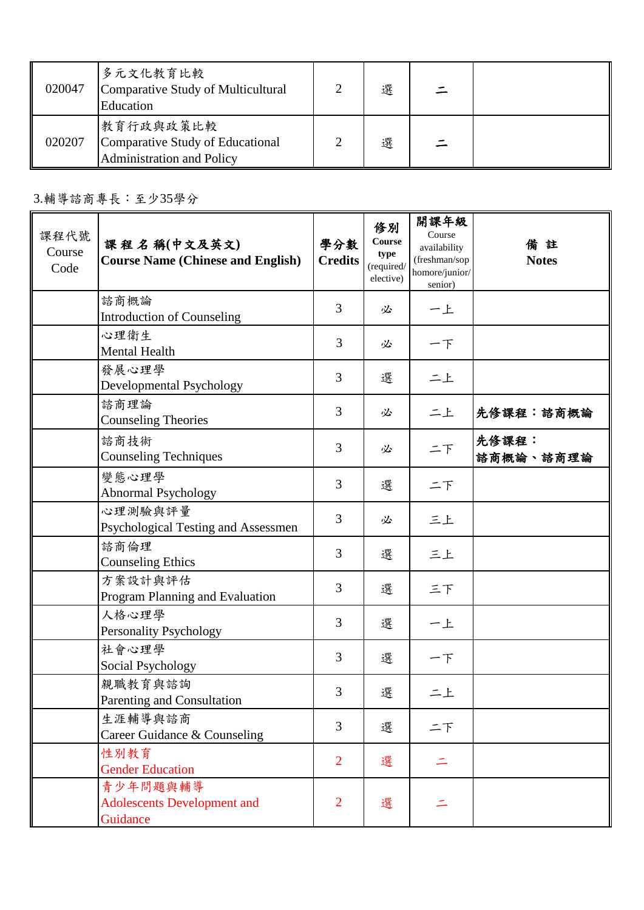| 020047 | 多元文化教育比較<br>Comparative Study of Multicultural<br>Education                | 選 |  |
|--------|----------------------------------------------------------------------------|---|--|
| 020207 | 教育行政與政策比較<br>Comparative Study of Educational<br>Administration and Policy | 選 |  |

3.輔導諮商專長:至少35學分

| 課程代號<br>Course<br>Code | 課程名稱(中文及英文)<br><b>Course Name (Chinese and English)</b>    | 學分數<br><b>Credits</b> | 修別<br>Course<br>type<br>(required/<br>elective) | 開課年級<br>Course<br>availability<br>(freshman/sop<br>homore/junior/<br>senior) | 備註<br><b>Notes</b> |
|------------------------|------------------------------------------------------------|-----------------------|-------------------------------------------------|------------------------------------------------------------------------------|--------------------|
|                        | 諮商概論<br><b>Introduction of Counseling</b>                  | 3                     | 必                                               | 一上                                                                           |                    |
|                        | 心理衛生<br><b>Mental Health</b>                               | 3                     | 必                                               | 一下                                                                           |                    |
|                        | 發展心理學<br>Developmental Psychology                          | 3                     | 選                                               | 二上                                                                           |                    |
|                        | 諮商理論<br><b>Counseling Theories</b>                         | 3                     | 必                                               | 二上                                                                           | 先修課程:諮商概論          |
|                        | 諮商技術<br><b>Counseling Techniques</b>                       | 3                     | 必                                               | 二下                                                                           | 先修課程:<br>諮商概論、諮商理論 |
|                        | 變態心理學<br>Abnormal Psychology                               | 3                     | 選                                               | 二下                                                                           |                    |
|                        | 心理測驗與評量<br>Psychological Testing and Assessmen             | 3                     | 必                                               | 三上                                                                           |                    |
|                        | 諮商倫理<br><b>Counseling Ethics</b>                           | 3                     | 選                                               | 三上                                                                           |                    |
|                        | 方案設計與評估<br>Program Planning and Evaluation                 | 3                     | 選                                               | 三下                                                                           |                    |
|                        | 人格心理學<br><b>Personality Psychology</b>                     | 3                     | 選                                               | 一上                                                                           |                    |
|                        | 社會心理學<br>Social Psychology                                 | 3                     | 選                                               | 一下                                                                           |                    |
|                        | 親職教育與諮詢<br>Parenting and Consultation                      | 3                     | 選                                               | 二上                                                                           |                    |
|                        | 生涯輔導與諮商<br>Career Guidance & Counseling                    | 3                     | 選                                               | 二下                                                                           |                    |
|                        | 性別教育<br><b>Gender Education</b>                            | $\overline{2}$        | 選                                               | 二                                                                            |                    |
|                        | 青少年問題與輔導<br><b>Adolescents Development and</b><br>Guidance | $\overline{2}$        | 選                                               | 二                                                                            |                    |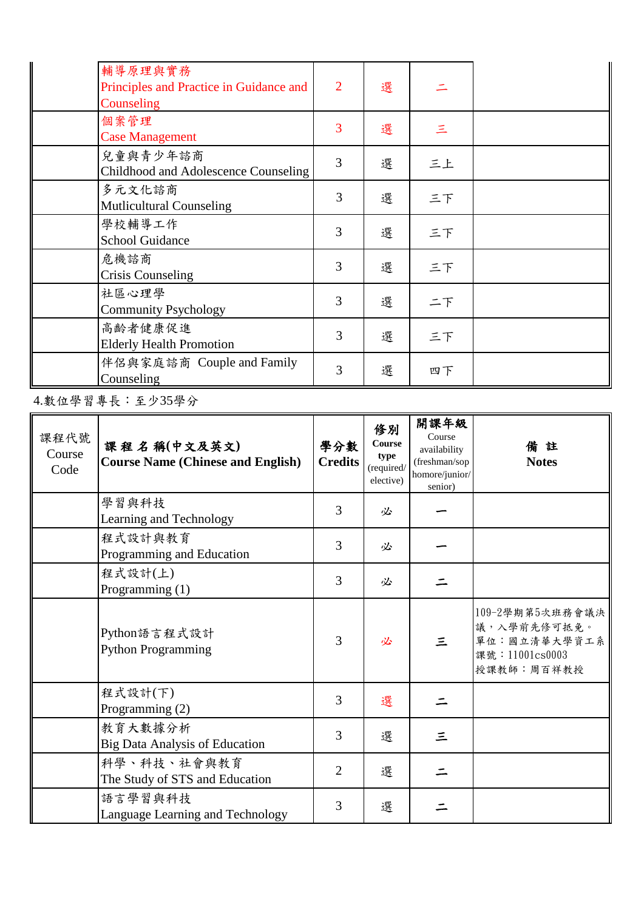| 輔導原理與實務<br>Principles and Practice in Guidance and<br>Counseling | $\overline{2}$ | 選 |          |  |
|------------------------------------------------------------------|----------------|---|----------|--|
| 個案管理<br><b>Case Management</b>                                   | 3              | 選 | $\equiv$ |  |
| 兒童與青少年諮商<br>Childhood and Adolescence Counseling                 | 3              | 選 | 三上       |  |
| 多元文化諮商<br><b>Mutlicultural Counseling</b>                        | 3              | 選 | 三下       |  |
| 學校輔導工作<br><b>School Guidance</b>                                 | 3              | 選 | 三下       |  |
| 危機諮商<br><b>Crisis Counseling</b>                                 | 3              | 選 | 三下       |  |
| 社區心理學<br><b>Community Psychology</b>                             | 3              | 選 | 二下       |  |
| 高齡者健康促進<br><b>Elderly Health Promotion</b>                       | 3              | 選 | 三下       |  |
| 伴侶與家庭諮商 Couple and Family<br>Counseling                          | 3              | 選 | 四下       |  |

4.數位學習專長:至少35學分

| 課程代號<br>Course<br>Code | 課程名稱(中文及英文)<br><b>Course Name (Chinese and English)</b> | 學分數<br><b>Credits</b> | 修別<br>Course<br>type<br>(required/<br>elective) | 開課年級<br>Course<br>availability<br>(freshman/sop<br>homore/junior/<br>senior) | 備註<br><b>Notes</b>                                                              |
|------------------------|---------------------------------------------------------|-----------------------|-------------------------------------------------|------------------------------------------------------------------------------|---------------------------------------------------------------------------------|
|                        | 學習與科技<br>Learning and Technology                        | 3                     | 必                                               |                                                                              |                                                                                 |
|                        | 程式設計與教育<br>Programming and Education                    | 3                     | 必                                               |                                                                              |                                                                                 |
|                        | 程式設計(上)<br>Programming $(1)$                            | 3                     | 必                                               |                                                                              |                                                                                 |
|                        | Python語言程式設計<br><b>Python Programming</b>               | 3                     | 必                                               | 三                                                                            | 109-2學期第5次班務會議決<br>議,入學前先修可抵免。<br>單位:國立清華大學資工系<br>課號: 11001cs0003<br>授課教師:周百祥教授 |
|                        | 程式設計(下)<br>Programming $(2)$                            | 3                     | 選                                               |                                                                              |                                                                                 |
|                        | 教育大數據分析<br><b>Big Data Analysis of Education</b>        | 3                     | 選                                               | 三                                                                            |                                                                                 |
|                        | 科學、科技、社會與教育<br>The Study of STS and Education           | $\overline{2}$        | 選                                               |                                                                              |                                                                                 |
|                        | 語言學習與科技<br>Language Learning and Technology             | 3                     | 選                                               |                                                                              |                                                                                 |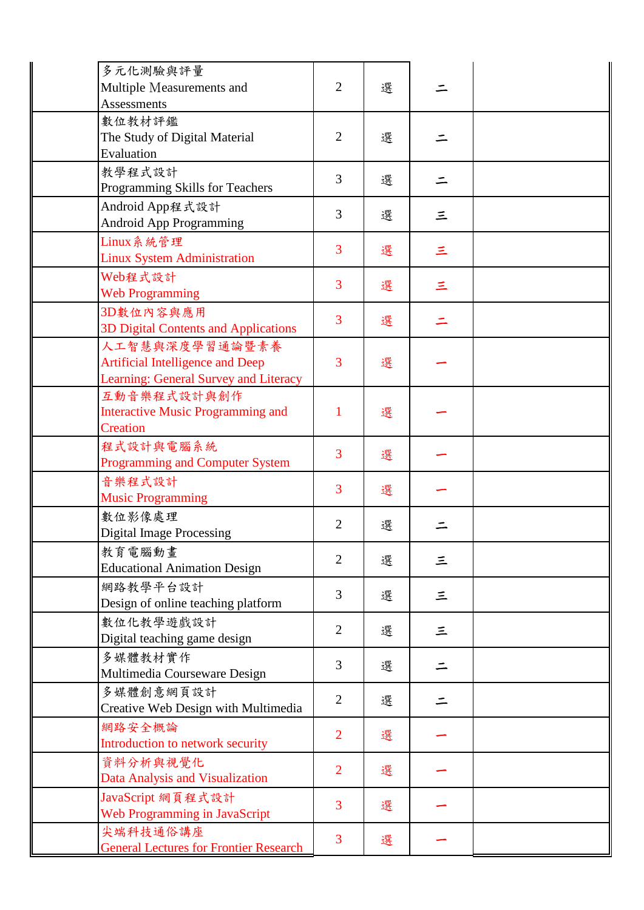| 多元化測驗與評量<br>Multiple Measurements and                                                       | $\overline{2}$ | 選 |          |  |
|---------------------------------------------------------------------------------------------|----------------|---|----------|--|
| <b>Assessments</b><br>數位教材評鑑<br>The Study of Digital Material                               | $\overline{2}$ | 選 |          |  |
| Evaluation<br>教學程式設計<br>Programming Skills for Teachers                                     | 3              | 選 |          |  |
| Android App程式設計<br><b>Android App Programming</b>                                           | 3              | 選 | 三        |  |
| Linux系統管理<br><b>Linux System Administration</b>                                             | 3              | 選 | Ξ        |  |
| Web程式設計<br><b>Web Programming</b>                                                           | 3              | 選 | 三        |  |
| 3D數位內容與應用<br>3D Digital Contents and Applications                                           | $\overline{3}$ | 選 |          |  |
| 人工智慧與深度學習通論暨素養<br>Artificial Intelligence and Deep<br>Learning: General Survey and Literacy | 3              | 選 |          |  |
| 互動音樂程式設計與創作<br><b>Interactive Music Programming and</b><br>Creation                         | 1              | 選 |          |  |
| 程式設計與電腦系統<br><b>Programming and Computer System</b>                                         | 3              | 選 |          |  |
| 音樂程式設計<br><b>Music Programming</b>                                                          | 3              | 選 |          |  |
| 數位影像處理<br><b>Digital Image Processing</b>                                                   | $\overline{2}$ | 選 |          |  |
| 教育電腦動畫<br><b>Educational Animation Design</b>                                               | $\overline{2}$ | 選 | 三        |  |
| 網路教學平台設計<br>Design of online teaching platform                                              | 3              | 選 | $\equiv$ |  |
| 數位化教學遊戲設計<br>Digital teaching game design                                                   | $\overline{2}$ | 選 | 三        |  |
| 多媒體教材實作<br>Multimedia Courseware Design                                                     | 3              | 選 | 二        |  |
| 多媒體創意網頁設計<br>Creative Web Design with Multimedia                                            | $\overline{2}$ | 選 |          |  |
| 網路安全概論<br>Introduction to network security                                                  | $\overline{2}$ | 選 |          |  |
| 資料分析與視覺化<br>Data Analysis and Visualization                                                 | $\overline{2}$ | 選 |          |  |
| JavaScript 網頁程式設計<br>Web Programming in JavaScript                                          | 3              | 選 |          |  |
| 尖端科技通俗講座<br><b>General Lectures for Frontier Research</b>                                   | 3              | 選 |          |  |